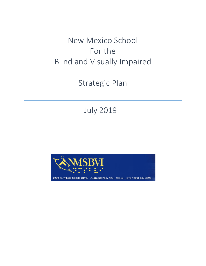New Mexico School For the Blind and Visually Impaired

Strategic Plan

July 2019

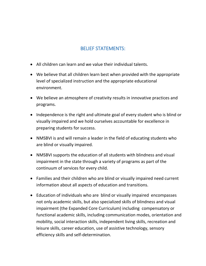## BELIEF STATEMENTS:

- All children can learn and we value their individual talents.
- We believe that all children learn best when provided with the appropriate level of specialized instruction and the appropriate educational environment.
- We believe an atmosphere of creativity results in innovative practices and programs.
- Independence is the right and ultimate goal of every student who is blind or visually impaired and we hold ourselves accountable for excellence in preparing students for success.
- NMSBVI is and will remain a leader in the field of educating students who are blind or visually impaired.
- NMSBVI supports the education of all students with blindness and visual impairment in the state through a variety of programs as part of the continuum of services for every child.
- Families and their children who are blind or visually impaired need current information about all aspects of education and transitions.
- Education of individuals who are blind or visually impaired encompasses not only academic skills, but also specialized skills of blindness and visual impairment (the Expanded Core Curriculum) including compensatory or functional academic skills, including communication modes, orientation and mobility, social interaction skills, independent living skills, recreation and leisure skills, career education, use of assistive technology, sensory efficiency skills and self-determination.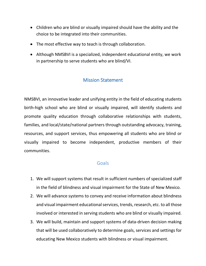- Children who are blind or visually impaired should have the ability and the choice to be integrated into their communities.
- The most effective way to teach is through collaboration.
- Although NMSBVI is a specialized, independent educational entity, we work in partnership to serve students who are blind/VI.

## Mission Statement

NMSBVI, an innovative leader and unifying entity in the field of educating students birth-high school who are blind or visually impaired, will identify students and promote quality education through collaborative relationships with students, families, and local/state/national partners through outstanding advocacy, training, resources, and support services, thus empowering all students who are blind or visually impaired to become independent, productive members of their communities.

## Goals

- 1. We will support systems that result in sufficient numbers of specialized staff in the field of blindness and visual impairment for the State of New Mexico.
- 2. We will advance systems to convey and receive information about blindness and visual impairment educational services, trends, research, etc. to all those involved or interested in serving students who are blind or visually impaired.
- 3. We will build, maintain and support systems of data-driven decision making that will be used collaboratively to determine goals, services and settings for educating New Mexico students with blindness or visual impairment.